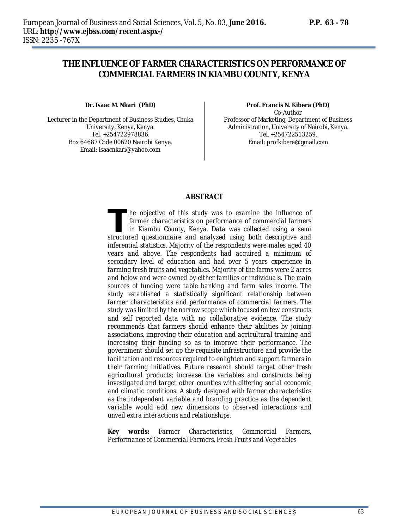# **THE INFLUENCE OF FARMER CHARACTERISTICS ON PERFORMANCE OF COMMERCIAL FARMERS IN KIAMBU COUNTY, KENYA**

**Dr. Isaac M. Nkari (PhD)**

Lecturer in the Department of Business Studies, Chuka University, Kenya, Kenya. Tel. +254722978836. Box 64687 Code 00620 Nairobi Kenya. Email: isaacnkari@yahoo.com

**Prof. Francis N. Kibera (PhD)** Co-Author Professor of Marketing, Department of Business Administration, University of Nairobi, Kenya. Tel. +254722513259. Email: profkibera@gmail.com

#### **ABSTRACT**

*he objective of this study was to examine the influence of farmer characteristics on performance of commercial farmers in Kiambu County, Kenya. Data was collected using a semi structured questionnaire and analyzed using both descriptional farmer characteristics on performance of commercial farmers in Kiambu County, Kenya. Data was collected using a semi structured questionnaire and analyzed usi inferential statistics. Majority of the respondents were males aged 40 years and above. The respondents had acquired a minimum of secondary level of education and had over 5 years experience in farming fresh fruits and vegetables. Majority of the farms were 2 acres and below and were owned by either families or individuals. The main sources of funding were table banking and farm sales income. The study established a statistically significant relationship between farmer characteristics and performance of commercial farmers. The study was limited by the narrow scope which focused on few constructs and self reported data with no collaborative evidence. The study recommends that farmers should enhance their abilities by joining associations, improving their education and agricultural training and increasing their funding so as to improve their performance. The government should set up the requisite infrastructure and provide the facilitation and resources required to enlighten and support farmers in their farming initiatives. Future research should target other fresh*  agricultural products; increase the variables and constructs being *investigated and target other counties with differing social economic and climatic conditions. A study designed with farmer characteristics as the independent variable and branding practice as the dependent variable would add new dimensions to observed interactions and unveil extra interactions and relationships.* 

*Key words: Farmer Characteristics, Commercial Farmers, Performance of Commercial Farmers, Fresh Fruits and Vegetables*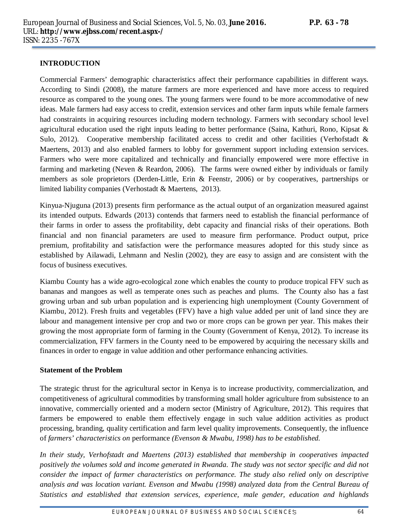#### **INTRODUCTION**

Commercial Farmers' demographic characteristics affect their performance capabilities in different ways. According to Sindi (2008), the mature farmers are more experienced and have more access to required resource as compared to the young ones. The young farmers were found to be more accommodative of new ideas. Male farmers had easy access to credit, extension services and other farm inputs while female farmers had constraints in acquiring resources including modern technology. Farmers with secondary school level agricultural education used the right inputs leading to better performance (Saina, Kathuri, Rono, Kipsat & Sulo, 2012). Cooperative membership facilitated access to credit and other facilities (Verhofstadt & Maertens, 2013) and also enabled farmers to lobby for government support including extension services. Farmers who were more capitalized and technically and financially empowered were more effective in farming and marketing (Neven & Reardon, 2006). The farms were owned either by individuals or family members as sole proprietors (Derden-Little, Erin & Feenstr, 2006) or by cooperatives, partnerships or limited liability companies (Verhostadt & Maertens, 2013).

Kinyua-Njuguna (2013) presents firm performance as the actual output of an organization measured against its intended outputs. Edwards (2013) contends that farmers need to establish the financial performance of their farms in order to assess the profitability, debt capacity and financial risks of their operations. Both financial and non financial parameters are used to measure firm performance. Product output, price premium, profitability and satisfaction were the performance measures adopted for this study since as established by Ailawadi, Lehmann and Neslin (2002), they are easy to assign and are consistent with the focus of business executives.

Kiambu County has a wide agro-ecological zone which enables the county to produce tropical FFV such as bananas and mangoes as well as temperate ones such as peaches and plums. The County also has a fast growing urban and sub urban population and is experiencing high unemployment (County Government of Kiambu, 2012). Fresh fruits and vegetables (FFV) have a high value added per unit of land since they are labour and management intensive per crop and two or more crops can be grown per year. This makes their growing the most appropriate form of farming in the County (Government of Kenya, 2012). To increase its commercialization, FFV farmers in the County need to be empowered by acquiring the necessary skills and finances in order to engage in value addition and other performance enhancing activities.

#### **Statement of the Problem**

The strategic thrust for the agricultural sector in Kenya is to increase productivity, commercialization, and competitiveness of agricultural commodities by transforming small holder agriculture from subsistence to an innovative, commercially oriented and a modern sector (Ministry of Agriculture, 2012). This requires that farmers be empowered to enable them effectively engage in such value addition activities as product processing, branding, quality certification and farm level quality improvements. Consequently, the influence of *farmers' characteristics on* performance *(Evenson & Mwabu, 1998) has to be established.* 

*In their study, Verhofstadt and Maertens (2013) established that membership in cooperatives impacted positively the volumes sold and income generated in Rwanda. The study was not sector specific and did not consider the impact of farmer characteristics on performance. The study also relied only on descriptive analysis and was location variant. Evenson and Mwabu (1998) analyzed data from the Central Bureau of Statistics and established that extension services, experience, male gender, education and highlands*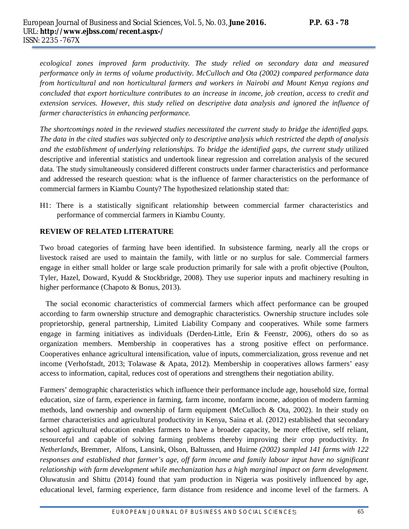ecological zones improved farm productivity. The study relied on secondary data and measured *performance only in terms of volume productivity. McCulloch and Ota (2002) compared performance data from horticultural and non horticultural farmers and workers in Nairobi and Mount Kenya regions and concluded that export horticulture contributes to an increase in income, job creation, access to credit and extension services. However, this study relied on descriptive data analysis and ignored the influence of farmer characteristics in enhancing performance.*

*The shortcomings noted in the reviewed studies necessitated the current study to bridge the identified gaps. The data in the cited studies was subjected only to descriptive analysis which restricted the depth of analysis and the establishment of underlying relationships. To bridge the identified gaps, the current study* utilized descriptive and inferential statistics and undertook linear regression and correlation analysis of the secured data. The study simultaneously considered different constructs under farmer characteristics and performance and addressed the research question: what is the influence of farmer characteristics on the performance of commercial farmers in Kiambu County? The hypothesized relationship stated that:

H1: There is a statistically significant relationship between commercial farmer characteristics and performance of commercial farmers in Kiambu County.

#### **REVIEW OF RELATED LITERATURE**

Two broad categories of farming have been identified. In subsistence farming, nearly all the crops or livestock raised are used to maintain the family, with little or no surplus for sale. Commercial farmers engage in either small holder or large scale production primarily for sale with a profit objective (Poulton, Tyler, Hazel, Doward, Kyudd & Stockbridge, 2008). They use superior inputs and machinery resulting in higher performance (Chapoto & Bonus, 2013).

 The social economic characteristics of commercial farmers which affect performance can be grouped according to farm ownership structure and demographic characteristics. Ownership structure includes sole proprietorship, general partnership, Limited Liability Company and cooperatives. While some farmers engage in farming initiatives as individuals (Derden-Little, Erin & Feenstr, 2006), others do so as organization members. Membership in cooperatives has a strong positive effect on performance. Cooperatives enhance agricultural intensification, value of inputs, commercialization, gross revenue and net income (Verhofstadt, 2013; Tolawase & Apata, 2012). Membership in cooperatives allows farmers' easy access to information, capital, reduces cost of operations and strengthens their negotiation ability.

Farmers' demographic characteristics which influence their performance include age, household size, formal education, size of farm, experience in farming, farm income, nonfarm income, adoption of modern farming methods, land ownership and ownership of farm equipment (McCulloch & Ota, 2002). In their study on farmer characteristics and agricultural productivity in Kenya, Saina et al. (2012) established that secondary school agricultural education enables farmers to have a broader capacity, be more effective, self reliant, resourceful and capable of solving farming problems thereby improving their crop productivity. *In Netherlands,* Bremmer, Alfons, Lansink, Olson, Baltussen, and Huirne *(2002) sampled 141 farms with 122 responses and established that farmer's age, off farm income and family labour input have no significant relationship with farm development while mechanization has a high marginal impact on farm development.*  Oluwatusin and Shittu (2014) found that yam production in Nigeria was positively influenced by age, educational level, farming experience, farm distance from residence and income level of the farmers. A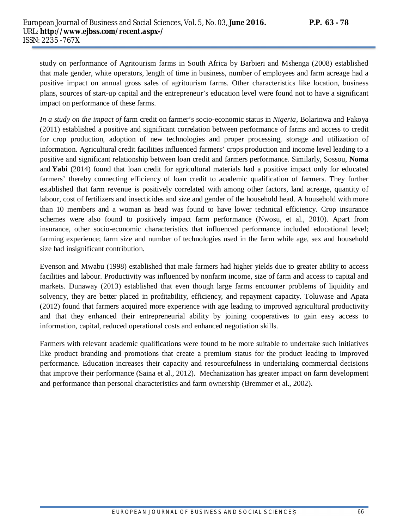study on performance of Agritourism farms in South Africa by Barbieri and Mshenga (2008) established that male gender, white operators, length of time in business, number of employees and farm acreage had a positive impact on annual gross sales of agritourism farms. Other characteristics like location, business plans, sources of start-up capital and the entrepreneur's education level were found not to have a significant impact on performance of these farms.

*In a study on the impact of* farm credit on farmer's socio-economic status in *Nigeria,* Bolarinwa and Fakoya (2011) established a positive and significant correlation between performance of farms and access to credit for crop production, adoption of new technologies and proper processing, storage and utilization of information. Agricultural credit facilities influenced farmers' crops production and income level leading to a positive and significant relationship between loan credit and farmers performance. Similarly, Sossou, **Noma** and **Yabi** (2014) found that loan credit for agricultural materials had a positive impact only for educated farmers' thereby connecting efficiency of loan credit to academic qualification of farmers. They further established that farm revenue is positively correlated with among other factors, land acreage, quantity of labour, cost of fertilizers and insecticides and size and gender of the household head. A household with more than 10 members and a woman as head was found to have lower technical efficiency. Crop insurance schemes were also found to positively impact farm performance (Nwosu, et al., 2010). Apart from insurance, other socio-economic characteristics that influenced performance included educational level; farming experience; farm size and number of technologies used in the farm while age, sex and household size had insignificant contribution.

Evenson and Mwabu (1998) established that male farmers had higher yields due to greater ability to access facilities and labour. Productivity was influenced by nonfarm income, size of farm and access to capital and markets. Dunaway (2013) established that even though large farms encounter problems of liquidity and solvency, they are better placed in profitability, efficiency, and repayment capacity. Toluwase and Apata (2012) found that farmers acquired more experience with age leading to improved agricultural productivity and that they enhanced their entrepreneurial ability by joining cooperatives to gain easy access to information, capital, reduced operational costs and enhanced negotiation skills.

Farmers with relevant academic qualifications were found to be more suitable to undertake such initiatives like product branding and promotions that create a premium status for the product leading to improved performance. Education increases their capacity and resourcefulness in undertaking commercial decisions that improve their performance (Saina et al., 2012). Mechanization has greater impact on farm development and performance than personal characteristics and farm ownership (Bremmer et al., 2002).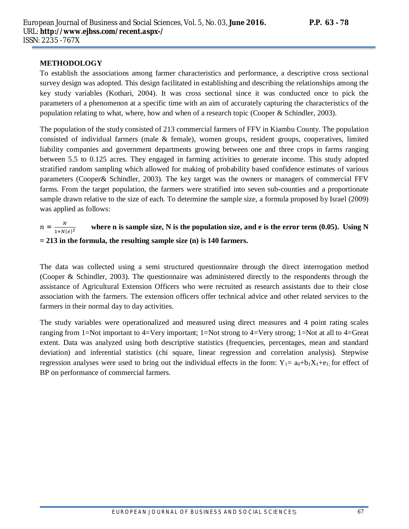## **METHODOLOGY**

To establish the associations among farmer characteristics and performance, a descriptive cross sectional survey design was adopted. This design facilitated in establishing and describing the relationships among the key study variables (Kothari, 2004). It was cross sectional since it was conducted once to pick the parameters of a phenomenon at a specific time with an aim of accurately capturing the characteristics of the population relating to what, where, how and when of a research topic (Cooper & Schindler, 2003).

The population of the study consisted of 213 commercial farmers of FFV in Kiambu County. The population consisted of individual farmers (male & female), women groups, resident groups, cooperatives, limited liability companies and government departments growing between one and three crops in farms ranging between 5.5 to 0.125 acres. They engaged in farming activities to generate income. This study adopted stratified random sampling which allowed for making of probability based confidence estimates of various parameters (Cooper& Schindler, 2003). The key target was the owners or managers of commercial FFV farms. From the target population, the farmers were stratified into seven sub-counties and a proportionate sample drawn relative to the size of each. To determine the sample size, a formula proposed by Israel (2009) was applied as follows:

#### $n = \frac{N}{1 + M}$  $1+N(e)^2$ where n is sample size, N is the population size, and e is the error term  $(0.05)$ . Using N **= 213 in the formula, the resulting sample size (n) is 140 farmers.**

The data was collected using a semi structured questionnaire through the direct interrogation method (Cooper & Schindler, 2003). The questionnaire was administered directly to the respondents through the assistance of Agricultural Extension Officers who were recruited as research assistants due to their close association with the farmers. The extension officers offer technical advice and other related services to the farmers in their normal day to day activities.

The study variables were operationalized and measured using direct measures and 4 point rating scales ranging from 1=Not important to 4=Very important; 1=Not strong to 4=Very strong; 1=Not at all to 4=Great extent. Data was analyzed using both descriptive statistics (frequencies, percentages, mean and standard deviation) and inferential statistics (chi square, linear regression and correlation analysis). Stepwise regression analyses were used to bring out the individual effects in the form:  $Y_1 = a_0 + b_1 X_1 + e_1$ ; for effect of BP on performance of commercial farmers.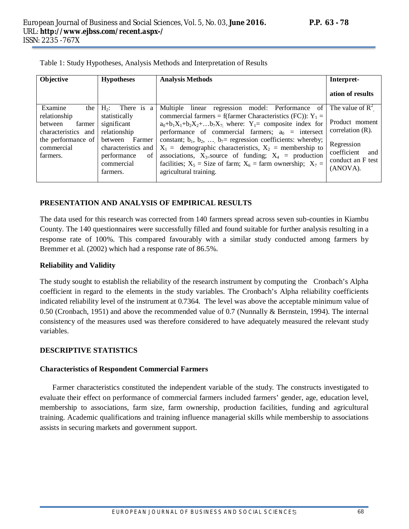| Objective           | <b>Hypotheses</b>     | <b>Analysis Methods</b>                                                         | Interpret-                  |
|---------------------|-----------------------|---------------------------------------------------------------------------------|-----------------------------|
|                     |                       |                                                                                 | ation of results            |
| Examine<br>the      | $H_2$ :<br>There is a | Multiple linear regression model: Performance of                                | The value of $\mathbb{R}^2$ |
| relationship        | statistically         | commercial farmers = f(farmer Characteristics (FC)): $Y_1$ =                    |                             |
| farmer<br>between   | significant           | $a_0 + b_1 X_1 + b_2 X_2 + \ldots + b_7 X_7$ where: $Y_1$ = composite index for | Product moment              |
| characteristics and | relationship          | performance of commercial farmers; $a_0$ = intersect                            | correlation $(R)$ .         |
| the performance of  | Farmer<br>between     | constant; $b_1$ , $b_2$ , $b_7$ = regression coefficients: whereby;             |                             |
| commercial          | characteristics and   | $X_1 =$ demographic characteristics, $X_2 =$ membership to                      | Regression                  |
| farmers.            | performance<br>of     | associations, $X_{3}$ -source of funding; $X_4$ = production                    | coefficient<br>and          |
|                     | commercial            | facilities; $X_5$ = Size of farm; $X_6$ = farm ownership; $X_7$ =               | conduct an F test           |
|                     | farmers.              | agricultural training.                                                          | (ANOVA).                    |
|                     |                       |                                                                                 |                             |

Table 1: Study Hypotheses, Analysis Methods and Interpretation of Results

#### **PRESENTATION AND ANALYSIS OF EMPIRICAL RESULTS**

The data used for this research was corrected from 140 farmers spread across seven sub-counties in Kiambu County. The 140 questionnaires were successfully filled and found suitable for further analysis resulting in a response rate of 100%. This compared favourably with a similar study conducted among farmers by Bremmer et al. (2002) which had a response rate of 86.5%.

#### **Reliability and Validity**

The study sought to establish the reliability of the research instrument by computing the Cronbach's Alpha coefficient in regard to the elements in the study variables. The Cronbach's Alpha reliability coefficients indicated reliability level of the instrument at 0.7364. The level was above the acceptable minimum value of 0.50 (Cronbach, 1951) and above the recommended value of 0.7 (Nunnally & Bernstein, 1994). The internal consistency of the measures used was therefore considered to have adequately measured the relevant study variables.

# **DESCRIPTIVE STATISTICS**

# **Characteristics of Respondent Commercial Farmers**

Farmer characteristics constituted the independent variable of the study. The constructs investigated to evaluate their effect on performance of commercial farmers included farmers' gender, age, education level, membership to associations, farm size, farm ownership, production facilities, funding and agricultural training. Academic qualifications and training influence managerial skills while membership to associations assists in securing markets and government support.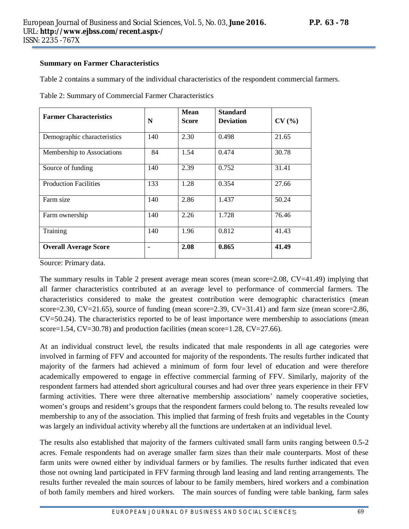#### **Summary on Farmer Characteristics**

Table 2 contains a summary of the individual characteristics of the respondent commercial farmers.

| <b>Farmer Characteristics</b> | N   | Mean<br><b>Score</b> | <b>Standard</b><br><b>Deviation</b> | CV(%) |
|-------------------------------|-----|----------------------|-------------------------------------|-------|
| Demographic characteristics   | 140 | 2.30                 | 0.498                               | 21.65 |
| Membership to Associations    | 84  | 1.54                 | 0.474                               | 30.78 |
| Source of funding             | 140 | 2.39                 | 0.752                               | 31.41 |
| <b>Production Facilities</b>  | 133 | 1.28                 | 0.354                               | 27.66 |
| Farm size                     | 140 | 2.86                 | 1.437                               | 50.24 |
| Farm ownership                | 140 | 2.26                 | 1.728                               | 76.46 |
| Training                      | 140 | 1.96                 | 0.812                               | 41.43 |
| <b>Overall Average Score</b>  |     | 2.08                 | 0.865                               | 41.49 |

Table 2: Summary of Commercial Farmer Characteristics

Source: Primary data.

The summary results in Table 2 present average mean scores (mean score=2.08, CV=41.49) implying that all farmer characteristics contributed at an average level to performance of commercial farmers. The characteristics considered to make the greatest contribution were demographic characteristics (mean score=2.30, CV=21.65), source of funding (mean score=2.39, CV=31.41) and farm size (mean score=2.86, CV=50.24). The characteristics reported to be of least importance were membership to associations (mean score=1.54, CV=30.78) and production facilities (mean score=1.28, CV=27.66).

At an individual construct level, the results indicated that male respondents in all age categories were involved in farming of FFV and accounted for majority of the respondents. The results further indicated that majority of the farmers had achieved a minimum of form four level of education and were therefore academically empowered to engage in effective commercial farming of FFV. Similarly, majority of the respondent farmers had attended short agricultural courses and had over three years experience in their FFV farming activities. There were three alternative membership associations' namely cooperative societies, women's groups and resident's groups that the respondent farmers could belong to. The results revealed low membership to any of the association. This implied that farming of fresh fruits and vegetables in the County was largely an individual activity whereby all the functions are undertaken at an individual level.

The results also established that majority of the farmers cultivated small farm units ranging between 0.5-2 acres. Female respondents had on average smaller farm sizes than their male counterparts. Most of these farm units were owned either by individual farmers or by families. The results further indicated that even those not owning land participated in FFV farming through land leasing and land renting arrangements. The results further revealed the main sources of labour to be family members, hired workers and a combination of both family members and hired workers. The main sources of funding were table banking, farm sales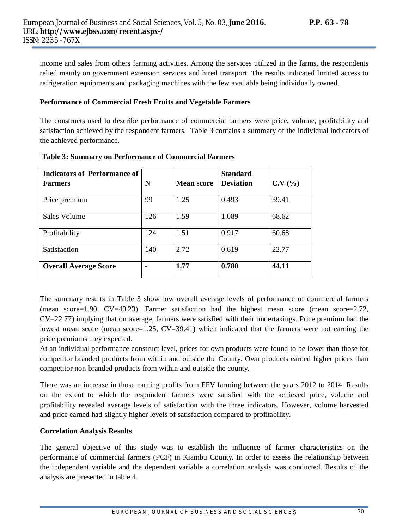income and sales from others farming activities. Among the services utilized in the farms, the respondents relied mainly on government extension services and hired transport. The results indicated limited access to refrigeration equipments and packaging machines with the few available being individually owned.

#### **Performance of Commercial Fresh Fruits and Vegetable Farmers**

The constructs used to describe performance of commercial farmers were price, volume, profitability and satisfaction achieved by the respondent farmers. Table 3 contains a summary of the individual indicators of the achieved performance.

| <b>Indicators of Performance of</b> |     |                   | <b>Standard</b>  |        |
|-------------------------------------|-----|-------------------|------------------|--------|
| <b>Farmers</b>                      | N   | <b>Mean score</b> | <b>Deviation</b> | C.V(%) |
| Price premium                       | 99  | 1.25              | 0.493            | 39.41  |
| Sales Volume                        | 126 | 1.59              | 1.089            | 68.62  |
| Profitability                       | 124 | 1.51              | 0.917            | 60.68  |
| Satisfaction                        | 140 | 2.72              | 0.619            | 22.77  |
| <b>Overall Average Score</b>        |     | 1.77              | 0.780            | 44.11  |

#### **Table 3: Summary on Performance of Commercial Farmers**

The summary results in Table 3 show low overall average levels of performance of commercial farmers (mean score=1.90,  $CV=40.23$ ). Farmer satisfaction had the highest mean score (mean score=2.72, CV=22.77) implying that on average, farmers were satisfied with their undertakings. Price premium had the lowest mean score (mean score=1.25, CV=39.41) which indicated that the farmers were not earning the price premiums they expected.

At an individual performance construct level, prices for own products were found to be lower than those for competitor branded products from within and outside the County. Own products earned higher prices than competitor non-branded products from within and outside the county.

There was an increase in those earning profits from FFV farming between the years 2012 to 2014. Results on the extent to which the respondent farmers were satisfied with the achieved price, volume and profitability revealed average levels of satisfaction with the three indicators. However, volume harvested and price earned had slightly higher levels of satisfaction compared to profitability.

# **Correlation Analysis Results**

The general objective of this study was to establish the influence of farmer characteristics on the performance of commercial farmers (PCF) in Kiambu County. In order to assess the relationship between the independent variable and the dependent variable a correlation analysis was conducted. Results of the analysis are presented in table 4.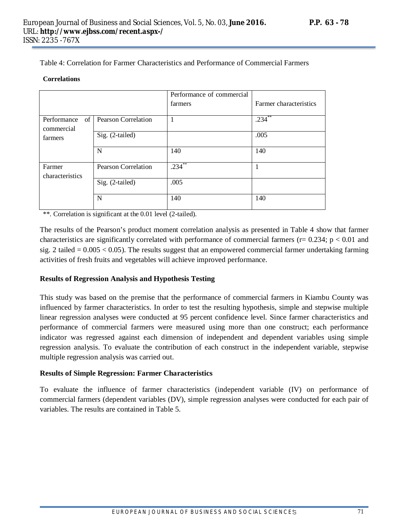Table 4: Correlation for Farmer Characteristics and Performance of Commercial Farmers

#### **Correlations**

|                                 |                            | Performance of commercial |                        |
|---------------------------------|----------------------------|---------------------------|------------------------|
|                                 |                            | farmers                   | Farmer characteristics |
| of<br>Performance<br>commercial | <b>Pearson Correlation</b> | $\mathbf{1}$              | $.234***$              |
| farmers                         | Sig. (2-tailed)            |                           | .005                   |
|                                 | $\mathbf N$                | 140                       | 140                    |
| Farmer<br>characteristics       | <b>Pearson Correlation</b> | $.234$ **                 |                        |
|                                 | Sig. (2-tailed)            | .005                      |                        |
|                                 | N                          | 140                       | 140                    |

\*\*. Correlation is significant at the 0.01 level (2-tailed).

The results of the Pearson's product moment correlation analysis as presented in Table 4 show that farmer characteristics are significantly correlated with performance of commercial farmers ( $r= 0.234$ ;  $p < 0.01$  and sig. 2 tailed  $= 0.005 < 0.05$ ). The results suggest that an empowered commercial farmer undertaking farming activities of fresh fruits and vegetables will achieve improved performance.

# **Results of Regression Analysis and Hypothesis Testing**

This study was based on the premise that the performance of commercial farmers in Kiambu County was influenced by farmer characteristics. In order to test the resulting hypothesis, simple and stepwise multiple linear regression analyses were conducted at 95 percent confidence level. Since farmer characteristics and performance of commercial farmers were measured using more than one construct; each performance indicator was regressed against each dimension of independent and dependent variables using simple regression analysis. To evaluate the contribution of each construct in the independent variable, stepwise multiple regression analysis was carried out.

# **Results of Simple Regression: Farmer Characteristics**

To evaluate the influence of farmer characteristics (independent variable (IV) on performance of commercial farmers (dependent variables (DV), simple regression analyses were conducted for each pair of variables. The results are contained in Table 5.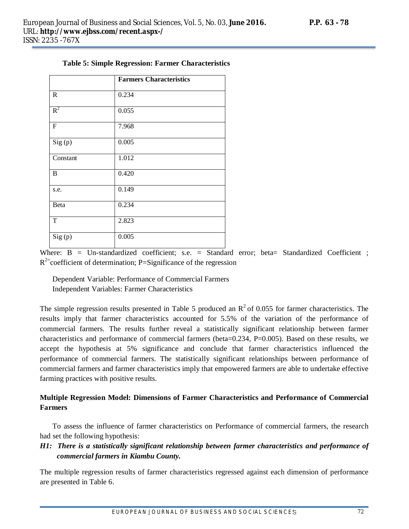|              | <b>Farmers Characteristics</b> |
|--------------|--------------------------------|
| $\mathbb{R}$ | 0.234                          |
| $R^2$        | 0.055                          |
| ${\bf F}$    | 7.968                          |
| Sig(p)       | 0.005                          |
| Constant     | 1.012                          |
| $\, {\bf B}$ | 0.420                          |
| s.e.         | 0.149                          |
| Beta         | 0.234                          |
| T            | 2.823                          |
| Sig(p)       | 0.005                          |

|  |  |  |  | <b>Table 5: Simple Regression: Farmer Characteristics</b> |
|--|--|--|--|-----------------------------------------------------------|
|--|--|--|--|-----------------------------------------------------------|

Where:  $B = Un-standardized coefficient$ ; s.e. = Standard error; beta= Standardized Coefficient;  $R^{2}$ =coefficient of determination; P=Significance of the regression

Dependent Variable: Performance of Commercial Farmers Independent Variables: Farmer Characteristics

The simple regression results presented in Table 5 produced an  $\mathbb{R}^2$  of 0.055 for farmer characteristics. The results imply that farmer characteristics accounted for 5.5% of the variation of the performance of commercial farmers. The results further reveal a statistically significant relationship between farmer characteristics and performance of commercial farmers (beta=0.234, P=0.005). Based on these results, we accept the hypothesis at 5% significance and conclude that farmer characteristics influenced the performance of commercial farmers. The statistically significant relationships between performance of commercial farmers and farmer characteristics imply that empowered farmers are able to undertake effective farming practices with positive results.

# **Multiple Regression Model: Dimensions of Farmer Characteristics and Performance of Commercial Farmers**

To assess the influence of farmer characteristics on Performance of commercial farmers, the research had set the following hypothesis:

# *H1: There is a statistically significant relationship between farmer characteristics and performance of commercial farmers in Kiambu County.*

The multiple regression results of farmer characteristics regressed against each dimension of performance are presented in Table 6.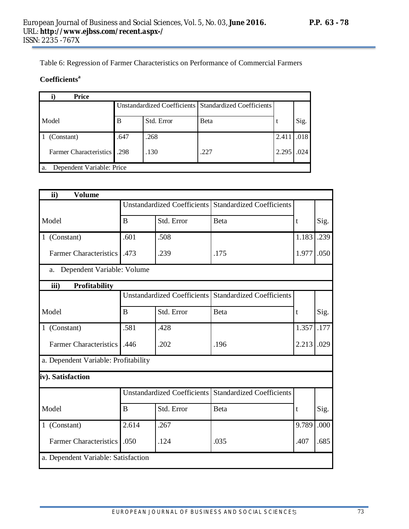Table 6: Regression of Farmer Characteristics on Performance of Commercial Farmers

# **Coefficients<sup>a</sup>**

| <b>Price</b>                      |                                                         |            |      |       |      |  |
|-----------------------------------|---------------------------------------------------------|------------|------|-------|------|--|
|                                   | Unstandardized Coefficients   Standardized Coefficients |            |      |       |      |  |
| Model                             | B                                                       | Std. Error | Beta |       | Sig. |  |
| (Constant)                        | .647                                                    | .268       |      | 2.411 | .018 |  |
| <b>Farmer Characteristics</b> 298 |                                                         | .130       | .227 | 2.295 | .024 |  |
| Dependent Variable: Price<br>a.   |                                                         |            |      |       |      |  |

| ii)<br><b>Volume</b>                 |              |                                    |                                  |       |      |
|--------------------------------------|--------------|------------------------------------|----------------------------------|-------|------|
|                                      |              | <b>Unstandardized Coefficients</b> | <b>Standardized Coefficients</b> |       |      |
| Model                                | B            | Std. Error                         | Beta                             | t     | Sig. |
| 1 (Constant)                         | .601         | .508                               |                                  | 1.183 | .239 |
| Farmer Characteristics               | .473         | .239                               | .175                             | 1.977 | .050 |
| Dependent Variable: Volume<br>a.     |              |                                    |                                  |       |      |
| iii)<br>Profitability                |              |                                    |                                  |       |      |
|                                      |              | <b>Unstandardized Coefficients</b> | <b>Standardized Coefficients</b> |       |      |
| Model                                | B            | Std. Error                         | Beta                             | t     | Sig. |
| 1 (Constant)                         | .581         | .428                               |                                  | 1.357 | .177 |
| <b>Farmer Characteristics</b> .446   |              | .202                               | .196                             | 2.213 | .029 |
| a. Dependent Variable: Profitability |              |                                    |                                  |       |      |
| iv). Satisfaction                    |              |                                    |                                  |       |      |
|                                      |              | <b>Unstandardized Coefficients</b> | <b>Standardized Coefficients</b> |       |      |
| Model                                | <sub>B</sub> | Std. Error                         | <b>Beta</b>                      | t     | Sig. |
| 1 (Constant)                         | 2.614        | .267                               |                                  | 9.789 | .000 |
| <b>Farmer Characteristics</b>        | .050         | .124                               | .035                             | .407  | .685 |
| a. Dependent Variable: Satisfaction  |              |                                    |                                  |       |      |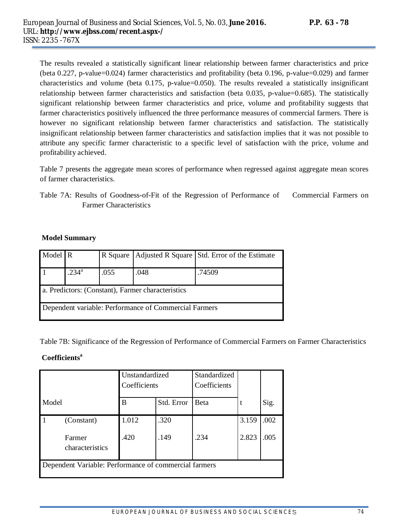The results revealed a statistically significant linear relationship between farmer characteristics and price (beta 0.227, p-value=0.024) farmer characteristics and profitability (beta 0.196, p-value=0.029) and farmer characteristics and volume (beta 0.175, p-value=0.050). The results revealed a statistically insignificant relationship between farmer characteristics and satisfaction (beta 0.035, p-value=0.685). The statistically significant relationship between farmer characteristics and price, volume and profitability suggests that farmer characteristics positively influenced the three performance measures of commercial farmers. There is however no significant relationship between farmer characteristics and satisfaction. The statistically insignificant relationship between farmer characteristics and satisfaction implies that it was not possible to attribute any specific farmer characteristic to a specific level of satisfaction with the price, volume and profitability achieved.

Table 7 presents the aggregate mean scores of performance when regressed against aggregate mean scores of farmer characteristics.

Table 7A: Results of Goodness-of-Fit of the Regression of Performance of Commercial Farmers on Farmer Characteristics

#### **Model Summary**

| Model R                                           |                                                       |      |      | R Square   Adjusted R Square   Std. Error of the Estimate |  |  |  |
|---------------------------------------------------|-------------------------------------------------------|------|------|-----------------------------------------------------------|--|--|--|
|                                                   | .234 <sup>a</sup>                                     | .055 | .048 | .74509                                                    |  |  |  |
| a. Predictors: (Constant), Farmer characteristics |                                                       |      |      |                                                           |  |  |  |
|                                                   | Dependent variable: Performance of Commercial Farmers |      |      |                                                           |  |  |  |

Table 7B: Significance of the Regression of Performance of Commercial Farmers on Farmer Characteristics

# **Coefficients<sup>a</sup>**

|                                                       | Unstandardized<br>Coefficients |       | Standardized<br>Coefficients |      |       |      |
|-------------------------------------------------------|--------------------------------|-------|------------------------------|------|-------|------|
| Model                                                 |                                | B     | Std. Error                   | Beta |       | Sig. |
|                                                       | (Constant)                     | 1.012 | .320                         |      | 3.159 | .002 |
|                                                       | Farmer<br>characteristics      | .420  | .149                         | .234 | 2.823 | .005 |
| Dependent Variable: Performance of commercial farmers |                                |       |                              |      |       |      |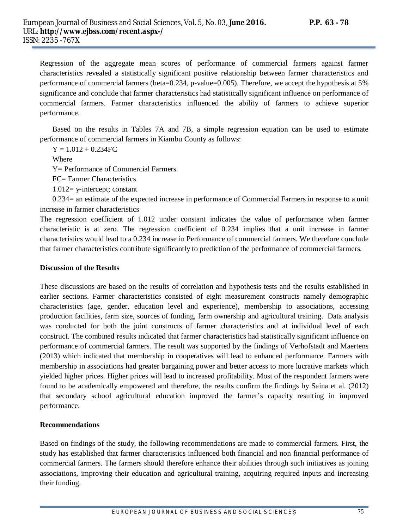Regression of the aggregate mean scores of performance of commercial farmers against farmer characteristics revealed a statistically significant positive relationship between farmer characteristics and performance of commercial farmers (beta=0.234, p-value=0.005). Therefore, we accept the hypothesis at 5% significance and conclude that farmer characteristics had statistically significant influence on performance of commercial farmers. Farmer characteristics influenced the ability of farmers to achieve superior performance.

Based on the results in Tables 7A and 7B, a simple regression equation can be used to estimate performance of commercial farmers in Kiambu County as follows:

 $Y = 1.012 + 0.234$ FC

Where

Y= Performance of Commercial Farmers

FC= Farmer Characteristics

1.012= y-intercept; constant

0.234= an estimate of the expected increase in performance of Commercial Farmers in response to a unit increase in farmer characteristics

The regression coefficient of 1.012 under constant indicates the value of performance when farmer characteristic is at zero. The regression coefficient of 0.234 implies that a unit increase in farmer characteristics would lead to a 0.234 increase in Performance of commercial farmers. We therefore conclude that farmer characteristics contribute significantly to prediction of the performance of commercial farmers.

#### **Discussion of the Results**

These discussions are based on the results of correlation and hypothesis tests and the results established in earlier sections. Farmer characteristics consisted of eight measurement constructs namely demographic characteristics (age, gender, education level and experience), membership to associations, accessing production facilities, farm size, sources of funding, farm ownership and agricultural training. Data analysis was conducted for both the joint constructs of farmer characteristics and at individual level of each construct. The combined results indicated that farmer characteristics had statistically significant influence on performance of commercial farmers. The result was supported by the findings of Verhofstadt and Maertens (2013) which indicated that membership in cooperatives will lead to enhanced performance. Farmers with membership in associations had greater bargaining power and better access to more lucrative markets which yielded higher prices. Higher prices will lead to increased profitability. Most of the respondent farmers were found to be academically empowered and therefore, the results confirm the findings by Saina et al. (2012) that secondary school agricultural education improved the farmer's capacity resulting in improved performance.

#### **Recommendations**

Based on findings of the study, the following recommendations are made to commercial farmers. First, the study has established that farmer characteristics influenced both financial and non financial performance of commercial farmers. The farmers should therefore enhance their abilities through such initiatives as joining associations, improving their education and agricultural training, acquiring required inputs and increasing their funding.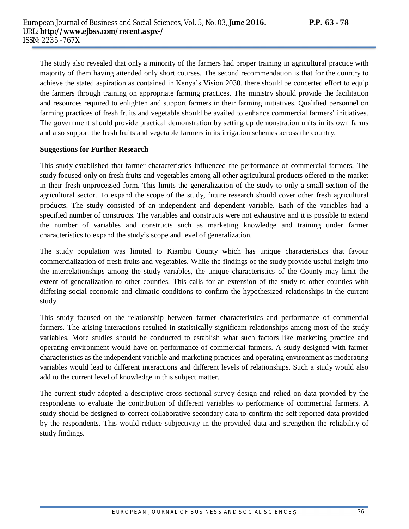The study also revealed that only a minority of the farmers had proper training in agricultural practice with majority of them having attended only short courses. The second recommendation is that for the country to achieve the stated aspiration as contained in Kenya's Vision 2030, there should be concerted effort to equip the farmers through training on appropriate farming practices. The ministry should provide the facilitation and resources required to enlighten and support farmers in their farming initiatives. Qualified personnel on farming practices of fresh fruits and vegetable should be availed to enhance commercial farmers' initiatives. The government should provide practical demonstration by setting up demonstration units in its own farms and also support the fresh fruits and vegetable farmers in its irrigation schemes across the country.

#### **Suggestions for Further Research**

This study established that farmer characteristics influenced the performance of commercial farmers. The study focused only on fresh fruits and vegetables among all other agricultural products offered to the market in their fresh unprocessed form. This limits the generalization of the study to only a small section of the agricultural sector. To expand the scope of the study, future research should cover other fresh agricultural products. The study consisted of an independent and dependent variable. Each of the variables had a specified number of constructs. The variables and constructs were not exhaustive and it is possible to extend the number of variables and constructs such as marketing knowledge and training under farmer characteristics to expand the study's scope and level of generalization.

The study population was limited to Kiambu County which has unique characteristics that favour commercialization of fresh fruits and vegetables. While the findings of the study provide useful insight into the interrelationships among the study variables, the unique characteristics of the County may limit the extent of generalization to other counties. This calls for an extension of the study to other counties with differing social economic and climatic conditions to confirm the hypothesized relationships in the current study.

This study focused on the relationship between farmer characteristics and performance of commercial farmers. The arising interactions resulted in statistically significant relationships among most of the study variables. More studies should be conducted to establish what such factors like marketing practice and operating environment would have on performance of commercial farmers. A study designed with farmer characteristics as the independent variable and marketing practices and operating environment as moderating variables would lead to different interactions and different levels of relationships. Such a study would also add to the current level of knowledge in this subject matter.

The current study adopted a descriptive cross sectional survey design and relied on data provided by the respondents to evaluate the contribution of different variables to performance of commercial farmers. A study should be designed to correct collaborative secondary data to confirm the self reported data provided by the respondents. This would reduce subjectivity in the provided data and strengthen the reliability of study findings.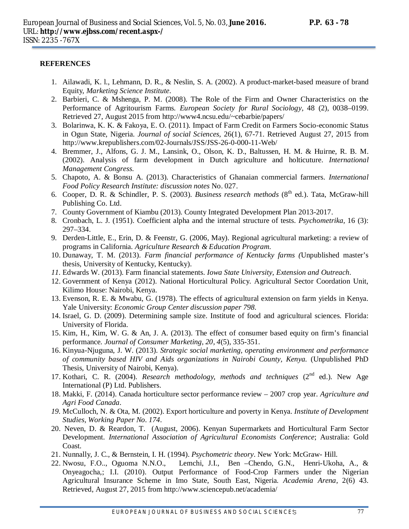## **REFERENCES**

- 1. Ailawadi, K. l., Lehmann, D. R., & Neslin, S. A. (2002). A product-market-based measure of brand Equity, *Marketing Science Institute*.
- 2. Barbieri, C. & Mshenga, P. M. (2008). The Role of the Firm and Owner Characteristics on the Performance of Agritourism Farms*. European Society for Rural Sociology,* 48 (2), 0038–0199. Retrieved 27, August 2015 from http://www4.ncsu.edu/~cebarbie/papers/
- 3. Bolarinwa, K. K. & Fakoya, E. O. (2011). Impact of Farm Credit on Farmers Socio-economic Status in Ogun State, Nigeria. *Journal of social Sciences,* 26(1), 67-71. Retrieved August 27, 2015 from http://www.krepublishers.com/02-Journals/JSS/JSS-26-0-000-11-Web/
- 4. Bremmer, J., Alfons, G. J. M., Lansink, O., Olson, K. D., Baltussen, H. M. & Huirne, R. B. M. (2002). Analysis of farm development in Dutch agriculture and holticuture. *International Management Congress.*
- 5. Chapoto, A. & Bonsu A. (2013). Characteristics of Ghanaian commercial farmers. *International Food Policy Research Institute: discussion notes* No. 027.
- 6. Cooper, D. R. & Schindler, P. S. (2003). *Business research methods* (8<sup>th</sup> ed.). Tata, McGraw-hill Publishing Co. Ltd.
- 7. County Government of Kiambu (2013). County Integrated Development Plan 2013-2017.
- 8. Cronbach, L. J. (1951). Coefficient alpha and the internal structure of tests. *Psychometrika,* 16 (3): 297–334.
- 9. Derden-Little, E., Erin, D. & Feenstr, G. (2006, May). Regional agricultural marketing: a review of programs in California. *Agriculture Research & Education Program*.
- 10. Dunaway, T. M. (2013). *Farm financial performance of Kentucky farms (*Unpublished master's thesis, University of Kentucky, Kentucky).
- *11.* Edwards W. (2013). Farm financial statements. *Iowa State University, Extension and Outreach.*
- 12. Government of Kenya (2012). National Horticultural Policy. Agricultural Sector Coordation Unit, Kilimo House: Nairobi, Kenya.
- 13. Evenson, R. E. & Mwabu, G. (1978). The effects of agricultural extension on farm yields in Kenya. Yale University: *Economic Group Center discussion paper 798*.
- 14. Israel, G. D. (2009). Determining sample size. Institute of food and agricultural sciences. Florida: University of Florida.
- 15. Kim, H., Kim, W. G. & An, J. A. (2013). The effect of consumer based equity on firm's financial performance. *Journal of Consumer Marketing, 20, 4*(5), 335-351.
- 16. Kinyua-Njuguna, J. W. (2013). *Strategic social marketing, operating environment and performance of community based HIV and Aids organizations in Nairobi County, Kenya.* (Unpublished PhD Thesis, University of Nairobi, Kenya).
- 17. Kothari, C. R. (2004). *Research methodology, methods and techniques* (2<sup>nd</sup> ed.). New Age International (P) Ltd. Publishers.
- 18. Makki, F. (2014). Canada horticulture sector performance review 2007 crop year. *Agriculture and Agri Food Canada*.
- *19.* McCulloch, N. & Ota, M. (2002). Export horticulture and poverty in Kenya. *Institute of Development Studies, Working Paper No. 174.*
- 20. Neven, D. & Reardon, T. (August, 2006). Kenyan Supermarkets and Horticultural Farm Sector Development. *International Association of Agricultural Economists Conference*; Australia: Gold Coast.
- 21. Nunnally, J. C., & Bernstein, I. H. (1994). *Psychometric theory*. New York: McGraw- Hill.
- 22. Nwosu, F.O.., Oguoma N.N.O., Lemchi, J.I., Ben –Chendo, G.N., Henri-Ukoha, A., & Onyeagocha,; I.I. (2010). Output Performance of Food-Crop Farmers under the Nigerian Agricultural Insurance Scheme in Imo State, South East, Nigeria. *Academia Arena*, 2(6) 43. Retrieved, August 27, 2015 from http://www.sciencepub.net/academia/